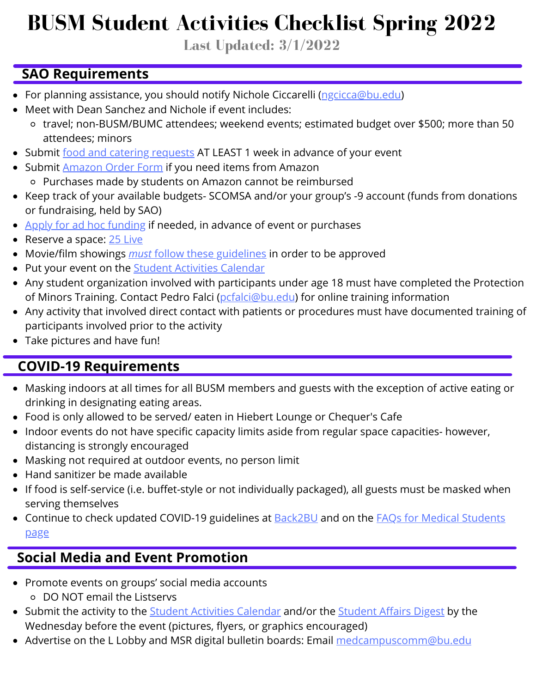# **BUSM Student Activities Checklist Spring 2022**

**Last Updated: 3/1/2022**

#### **SAO Requirements**

- For planning assistance, you should notify Nichole Ciccarelli ([ngcicca@bu.edu](mailto:ngcicca@bu.edu))
- Meet with Dean Sanchez and Nichole if event includes:
	- travel; non-BUSM/BUMC attendees; weekend events; estimated budget over \$500; more than 50 attendees; minors
- Submit [food and catering requests](https://forms.gle/svbxPXNWFL1PiSzMA) AT LEAST 1 week in advance of your event
- Submit **Amazon Order Form** if you need items from Amazon Purchases made by students on Amazon cannot be reimbursed
- Keep track of your available budgets- SCOMSA and/or your group's -9 account (funds from donations or fundraising, held by SAO)
- [Apply for ad hoc funding](https://docs.google.com/forms/d/e/1FAIpQLSdjPUBkYvJOVw66b53r5CGrrfdTYQv4U5yr_HgA_ODyjJpQdA/viewform) if needed, in advance of event or purchases
- Reserve a space: [25 Live](https://25live.collegenet.com/pro/bu#!/home/dash)
- Movie/film showings *[must](https://docs.google.com/document/d/1kN7LW5N_TU2KSPaxS5ocQIgYStdZzDZqBnyi3jGAIJo/edit?usp=sharing)* [follow these guidelines](https://docs.google.com/document/d/1kN7LW5N_TU2KSPaxS5ocQIgYStdZzDZqBnyi3jGAIJo/edit?usp=sharing) in order to be approved
- Put your event on the **[Student Activities Calendar](https://docs.google.com/forms/d/e/1FAIpQLSfKWoqwNDGvijo1zyfIo-HcGERqdSIw5PcDsTiIvHAy0ji_0g/viewform)**
- Any student organization involved with participants under age 18 must have completed the Protection of Minors Training. Contact Pedro Falci [\(pcfalci@bu.edu](mailto:pcfalci@bu.edu)) for online training information
- Any activity that involved direct contact with patients or procedures must have documented training of participants involved prior to the activity
- **Take pictures and have fun!**<br>————————————————————

### **COVID-19 Requirements**

- Masking indoors at all times for all BUSM members and guests with the exception of active eating or drinking in designating eating areas.
- Food is only allowed to be served/ eaten in Hiebert Lounge or Chequer's Cafe
- Indoor events do not have specific capacity limits aside from regular space capacities- however, distancing is strongly encouraged
- Masking not required at outdoor events, no person limit
- Hand sanitizer be made available
- If food is self-service (i.e. buffet-style or not individually packaged), all guests must be masked when serving themselves
- Continue to check updated COVID-19 guidelines at **B[ack2B](https://www.bu.edu/back2bu/)U** and on the **FAQs** for Medical Students page

## **CSocial Media and Event Promotion areer Interest Groups & Shadowing**

- Promote events on groups' social media accounts
	- DO NOT email the Listservs
- Submit the activity to the [Student Activities Calendar](https://docs.google.com/forms/d/e/1FAIpQLSfKWoqwNDGvijo1zyfIo-HcGERqdSIw5PcDsTiIvHAy0ji_0g/viewform) and/or the [Student Affairs Digest](https://www.bumc.bu.edu/busm/student-affairs/student-life/student-activity-digest-submission/) by the Wednesday before the event (pictures, flyers, or graphics encouraged)
- Advertise on the L Lobby and MSR digital bulletin boards: Email [medcampuscomm@bu.edu](mailto:medcampuscomm@bu.edu)